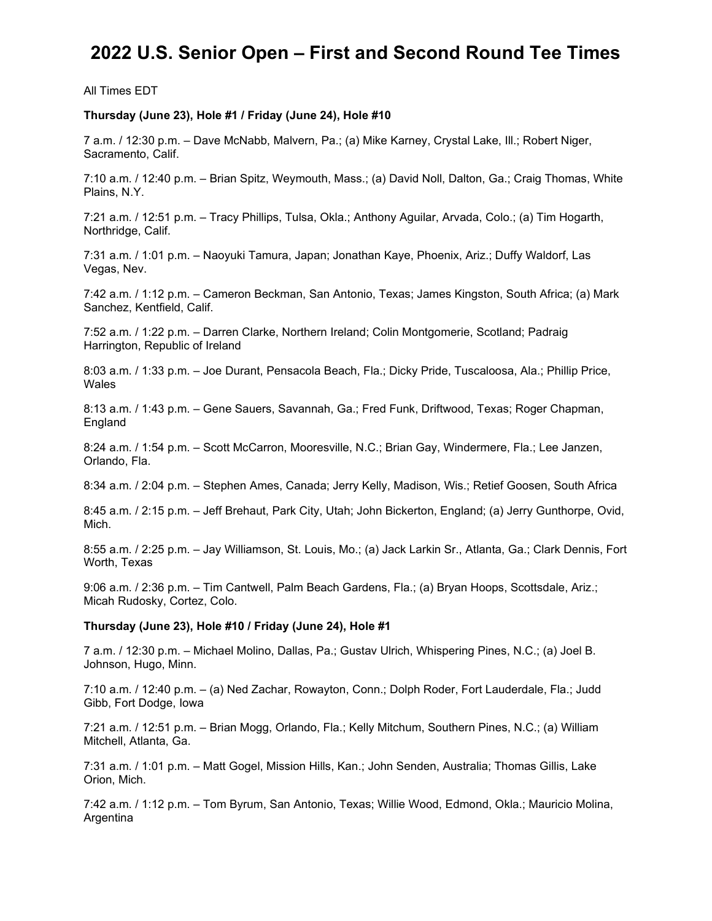# **2022 U.S. Senior Open – First and Second Round Tee Times**

All Times EDT

## **Thursday (June 23), Hole #1 / Friday (June 24), Hole #10**

7 a.m. / 12:30 p.m. – Dave McNabb, Malvern, Pa.; (a) Mike Karney, Crystal Lake, Ill.; Robert Niger, Sacramento, Calif.

7:10 a.m. / 12:40 p.m. – Brian Spitz, Weymouth, Mass.; (a) David Noll, Dalton, Ga.; Craig Thomas, White Plains, N.Y.

7:21 a.m. / 12:51 p.m. – Tracy Phillips, Tulsa, Okla.; Anthony Aguilar, Arvada, Colo.; (a) Tim Hogarth, Northridge, Calif.

7:31 a.m. / 1:01 p.m. – Naoyuki Tamura, Japan; Jonathan Kaye, Phoenix, Ariz.; Duffy Waldorf, Las Vegas, Nev.

7:42 a.m. / 1:12 p.m. – Cameron Beckman, San Antonio, Texas; James Kingston, South Africa; (a) Mark Sanchez, Kentfield, Calif.

7:52 a.m. / 1:22 p.m. – Darren Clarke, Northern Ireland; Colin Montgomerie, Scotland; Padraig Harrington, Republic of Ireland

8:03 a.m. / 1:33 p.m. – Joe Durant, Pensacola Beach, Fla.; Dicky Pride, Tuscaloosa, Ala.; Phillip Price, Wales

8:13 a.m. / 1:43 p.m. – Gene Sauers, Savannah, Ga.; Fred Funk, Driftwood, Texas; Roger Chapman, England

8:24 a.m. / 1:54 p.m. – Scott McCarron, Mooresville, N.C.; Brian Gay, Windermere, Fla.; Lee Janzen, Orlando, Fla.

8:34 a.m. / 2:04 p.m. – Stephen Ames, Canada; Jerry Kelly, Madison, Wis.; Retief Goosen, South Africa

8:45 a.m. / 2:15 p.m. – Jeff Brehaut, Park City, Utah; John Bickerton, England; (a) Jerry Gunthorpe, Ovid, Mich.

8:55 a.m. / 2:25 p.m. – Jay Williamson, St. Louis, Mo.; (a) Jack Larkin Sr., Atlanta, Ga.; Clark Dennis, Fort Worth, Texas

9:06 a.m. / 2:36 p.m. – Tim Cantwell, Palm Beach Gardens, Fla.; (a) Bryan Hoops, Scottsdale, Ariz.; Micah Rudosky, Cortez, Colo.

### **Thursday (June 23), Hole #10 / Friday (June 24), Hole #1**

7 a.m. / 12:30 p.m. – Michael Molino, Dallas, Pa.; Gustav Ulrich, Whispering Pines, N.C.; (a) Joel B. Johnson, Hugo, Minn.

7:10 a.m. / 12:40 p.m. – (a) Ned Zachar, Rowayton, Conn.; Dolph Roder, Fort Lauderdale, Fla.; Judd Gibb, Fort Dodge, Iowa

7:21 a.m. / 12:51 p.m. – Brian Mogg, Orlando, Fla.; Kelly Mitchum, Southern Pines, N.C.; (a) William Mitchell, Atlanta, Ga.

7:31 a.m. / 1:01 p.m. – Matt Gogel, Mission Hills, Kan.; John Senden, Australia; Thomas Gillis, Lake Orion, Mich.

7:42 a.m. / 1:12 p.m. – Tom Byrum, San Antonio, Texas; Willie Wood, Edmond, Okla.; Mauricio Molina, **Argentina**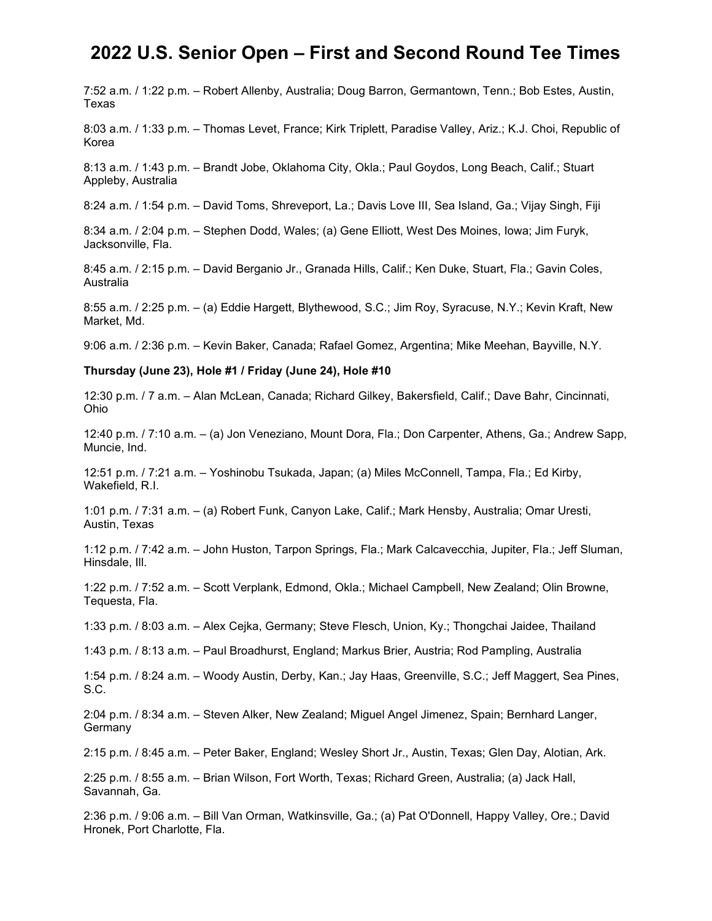## **2022 U.S. Senior Open – First and Second Round Tee Times**

7:52 a.m. / 1:22 p.m. – Robert Allenby, Australia; Doug Barron, Germantown, Tenn.; Bob Estes, Austin, Texas

8:03 a.m. / 1:33 p.m. – Thomas Levet, France; Kirk Triplett, Paradise Valley, Ariz.; K.J. Choi, Republic of Korea

8:13 a.m. / 1:43 p.m. – Brandt Jobe, Oklahoma City, Okla.; Paul Goydos, Long Beach, Calif.; Stuart Appleby, Australia

8:24 a.m. / 1:54 p.m. – David Toms, Shreveport, La.; Davis Love III, Sea Island, Ga.; Vijay Singh, Fiji

8:34 a.m. / 2:04 p.m. – Stephen Dodd, Wales; (a) Gene Elliott, West Des Moines, Iowa; Jim Furyk, Jacksonville, Fla.

8:45 a.m. / 2:15 p.m. – David Berganio Jr., Granada Hills, Calif.; Ken Duke, Stuart, Fla.; Gavin Coles, Australia

8:55 a.m. / 2:25 p.m. – (a) Eddie Hargett, Blythewood, S.C.; Jim Roy, Syracuse, N.Y.; Kevin Kraft, New Market, Md.

9:06 a.m. / 2:36 p.m. – Kevin Baker, Canada; Rafael Gomez, Argentina; Mike Meehan, Bayville, N.Y.

#### **Thursday (June 23), Hole #1 / Friday (June 24), Hole #10**

12:30 p.m. / 7 a.m. – Alan McLean, Canada; Richard Gilkey, Bakersfield, Calif.; Dave Bahr, Cincinnati, Ohio

12:40 p.m. / 7:10 a.m. – (a) Jon Veneziano, Mount Dora, Fla.; Don Carpenter, Athens, Ga.; Andrew Sapp, Muncie, Ind.

12:51 p.m. / 7:21 a.m. – Yoshinobu Tsukada, Japan; (a) Miles McConnell, Tampa, Fla.; Ed Kirby, Wakefield, R.I.

1:01 p.m. / 7:31 a.m. – (a) Robert Funk, Canyon Lake, Calif.; Mark Hensby, Australia; Omar Uresti, Austin, Texas

1:12 p.m. / 7:42 a.m. – John Huston, Tarpon Springs, Fla.; Mark Calcavecchia, Jupiter, Fla.; Jeff Sluman, Hinsdale, Ill.

1:22 p.m. / 7:52 a.m. – Scott Verplank, Edmond, Okla.; Michael Campbell, New Zealand; Olin Browne, Tequesta, Fla.

1:33 p.m. / 8:03 a.m. – Alex Cejka, Germany; Steve Flesch, Union, Ky.; Thongchai Jaidee, Thailand

1:43 p.m. / 8:13 a.m. – Paul Broadhurst, England; Markus Brier, Austria; Rod Pampling, Australia

1:54 p.m. / 8:24 a.m. – Woody Austin, Derby, Kan.; Jay Haas, Greenville, S.C.; Jeff Maggert, Sea Pines, S.C.

2:04 p.m. / 8:34 a.m. – Steven Alker, New Zealand; Miguel Angel Jimenez, Spain; Bernhard Langer, Germany

2:15 p.m. / 8:45 a.m. – Peter Baker, England; Wesley Short Jr., Austin, Texas; Glen Day, Alotian, Ark.

2:25 p.m. / 8:55 a.m. – Brian Wilson, Fort Worth, Texas; Richard Green, Australia; (a) Jack Hall, Savannah, Ga.

2:36 p.m. / 9:06 a.m. – Bill Van Orman, Watkinsville, Ga.; (a) Pat O'Donnell, Happy Valley, Ore.; David Hronek, Port Charlotte, Fla.